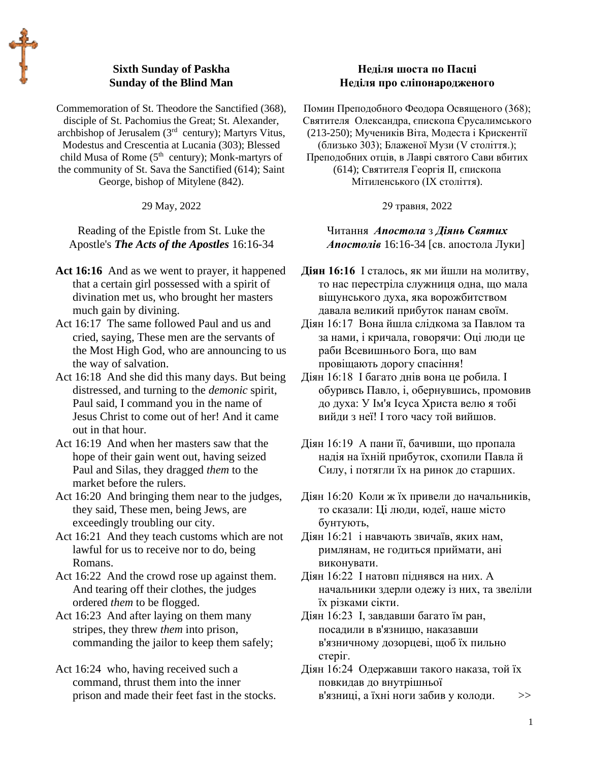# **Sixth Sunday of Paskha Sunday of the Blind Man**

Commemoration of St. Theodore the Sanctified (368), disciple of St. Pachomius the Great; St. Alexander, archbishop of Jerusalem (3rd century); Martyrs Vitus, Modestus and Crescentia at Lucania (303); Blessed child Musa of Rome (5<sup>th</sup> century); Monk-martyrs of the community of St. Sava the Sanctified (614); Saint George, bishop of Mitylene (842).

#### 29 May, 2022

Reading of the Epistle from St. Luke the Apostle's *The Acts of the Apostles* 16:16-34

- Act 16:16 And as we went to prayer, it happened that a certain girl possessed with a spirit of divination met us, who brought her masters much gain by divining.
- Act 16:17 The same followed Paul and us and cried, saying, These men are the servants of the Most High God, who are announcing to us the way of salvation.
- Act 16:18 And she did this many days. But being distressed, and turning to the *demonic* spirit, Paul said, I command you in the name of Jesus Christ to come out of her! And it came out in that hour.
- Act 16:19 And when her masters saw that the hope of their gain went out, having seized Paul and Silas, they dragged *them* to the market before the rulers.
- Act 16:20 And bringing them near to the judges, they said, These men, being Jews, are exceedingly troubling our city.
- Act 16:21 And they teach customs which are not lawful for us to receive nor to do, being Romans.
- Act 16:22 And the crowd rose up against them. And tearing off their clothes, the judges ordered *them* to be flogged.
- Act 16:23 And after laying on them many stripes, they threw *them* into prison, commanding the jailor to keep them safely;
- Act 16:24 who, having received such a command, thrust them into the inner prison and made their feet fast in the stocks.

## **Неділя шоста по Пасці Неділя про сліпонародженого**

Помин Преподобного Феодора Освященого (368); Святителя Олександра, єпископа Єрусалимського (213-250); Мучеників Віта, Модеста і Крискентії (близько 303); Блаженої Музи (V століття.); Преподобних отців, в Лаврі святого Сави вбитих (614); Святителя Георгія II, єпископа Мітиленського (IX століття).

29 травня, 2022

Читання *Апостола* з *Діянь Святих Апостолів* 16:16-34 [св. апостола Луки]

**Діян 16:16** І сталось, як ми йшли на молитву, то нас перестріла служниця одна, що мала віщунського духа, яка ворожбитством давала великий прибуток панам своїм.

- Діян 16:17 Вона йшла слідкома за Павлом та за нами, і кричала, говорячи: Оці люди це раби Всевишнього Бога, що вам провіщають дорогу спасіння!
- Діян 16:18 І багато днів вона це робила. І обуривсь Павло, і, обернувшись, промовив до духа: У Ім'я Ісуса Христа велю я тобі вийди з неї! І того часу той вийшов.
- Діян 16:19 А пани її, бачивши, що пропала надія на їхній прибуток, схопили Павла й Силу, і потягли їх на ринок до старших.
- Діян 16:20 Коли ж їх привели до начальників, то сказали: Ці люди, юдеї, наше місто бунтують,
- Діян 16:21 і навчають звичаїв, яких нам, римлянам, не годиться приймати, ані виконувати.
- Діян 16:22 І натовп піднявся на них. А начальники здерли одежу із них, та звеліли їх різками сікти.
- Діян 16:23 І, завдавши багато їм ран, посадили в в'язницю, наказавши в'язничному дозорцеві, щоб їх пильно стеріг.
- Діян 16:24 Одержавши такого наказа, той їх повкидав до внутрішньої в'язниці, а їхні ноги забив у колоди. >>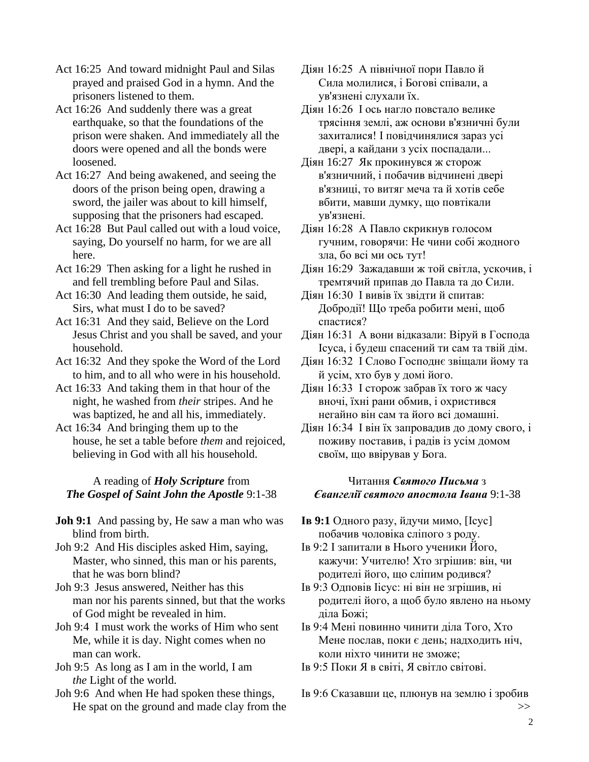Act 16:25 And toward midnight Paul and Silas prayed and praised God in a hymn. And the prisoners listened to them.

Act 16:26 And suddenly there was a great earthquake, so that the foundations of the prison were shaken. And immediately all the doors were opened and all the bonds were loosened.

Act 16:27 And being awakened, and seeing the doors of the prison being open, drawing a sword, the jailer was about to kill himself, supposing that the prisoners had escaped.

Act 16:28 But Paul called out with a loud voice, saying, Do yourself no harm, for we are all here.

Act 16:29 Then asking for a light he rushed in and fell trembling before Paul and Silas.

Act 16:30 And leading them outside, he said, Sirs, what must I do to be saved?

Act 16:31 And they said, Believe on the Lord Jesus Christ and you shall be saved, and your household.

Act 16:32 And they spoke the Word of the Lord to him, and to all who were in his household.

- Act 16:33 And taking them in that hour of the night, he washed from *their* stripes. And he was baptized, he and all his, immediately.
- Act 16:34 And bringing them up to the house, he set a table before *them* and rejoiced, believing in God with all his household.

## A reading of *Holy Scripture* from *The Gospel of Saint John the Apostle* 9:1-38

**Joh 9:1** And passing by, He saw a man who was blind from birth.

Joh 9:2 And His disciples asked Him, saying, Master, who sinned, this man or his parents, that he was born blind?

Joh 9:3 Jesus answered, Neither has this man nor his parents sinned, but that the works of God might be revealed in him.

Joh 9:4 I must work the works of Him who sent Me, while it is day. Night comes when no man can work.

Joh 9:5 As long as I am in the world, I am *the* Light of the world.

Joh 9:6 And when He had spoken these things, He spat on the ground and made clay from the Діян 16:25 А північної пори Павло й Сила молилися, і Богові співали, а ув'язнені слухали їх.

Діян 16:26 І ось нагло повстало велике трясіння землі, аж основи в'язничні були захиталися! І повідчинялися зараз усі двері, а кайдани з усіх поспадали...

Діян 16:27 Як прокинувся ж сторож в'язничний, і побачив відчинені двері в'язниці, то витяг меча та й хотів себе вбити, мавши думку, що повтікали ув'язнені.

Діян 16:28 А Павло скрикнув голосом гучним, говорячи: Не чини собі жодного зла, бо всі ми ось тут!

Діян 16:29 Зажадавши ж той світла, ускочив, і тремтячий припав до Павла та до Сили.

Діян 16:30 І вивів їх звідти й спитав: Добродії! Що треба робити мені, щоб спастися?

Діян 16:31 А вони відказали: Віруй в Господа Ісуса, і будеш спасений ти сам та твій дім.

Діян 16:32 І Слово Господнє звіщали йому та й усім, хто був у домі його.

Діян 16:33 І сторож забрав їх того ж часу вночі, їхні рани обмив, і охристився негайно він сам та його всі домашні.

Діян 16:34 І він їх запровадив до дому свого, і поживу поставив, і радів із усім домом своїм, що ввірував у Бога.

#### Читання *Святого Письма* з *Євангелії святого апостола Івана* 9:1-38

**Ів 9:1** Одного разу, йдучи мимо, [Ісус] побачив чоловіка сліпого з роду.

Ів 9:2 І запитали в Нього ученики Його, кажучи: Учителю! Хто згрішив: він, чи родителі його, що сліпим родився?

Ів 9:3 Одповів Іісус: ні він не згрішив, ні родителі його, а щоб було явлено на ньому діла Божі;

Ів 9:4 Мені повинно чинити діла Того, Хто Мене послав, поки є день; надходить ніч, коли ніхто чинити не зможе;

Ів 9:5 Поки Я в світі, Я світло світові.

Ів 9:6 Сказавши це, плюнув на землю і зробив >>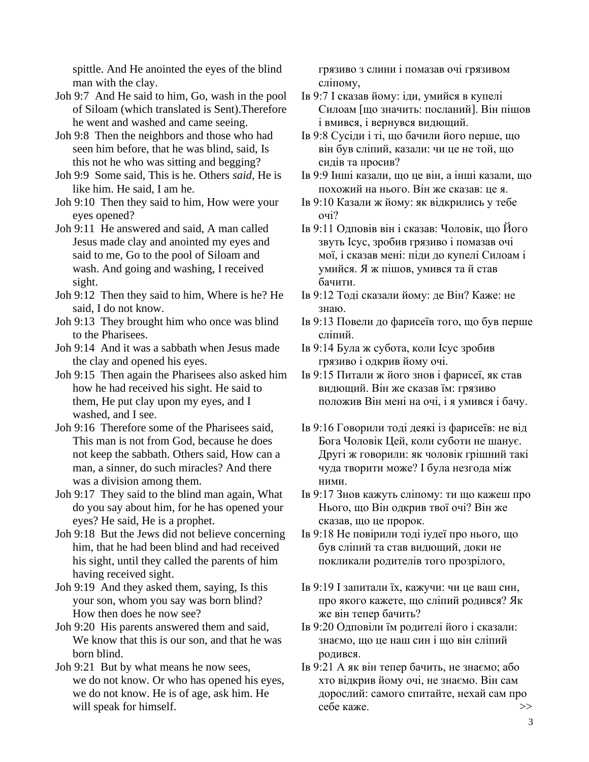spittle. And He anointed the eyes of the blind man with the clay.

Joh 9:7 And He said to him, Go, wash in the pool of Siloam (which translated is Sent).Therefore he went and washed and came seeing.

Joh 9:8 Then the neighbors and those who had seen him before, that he was blind, said, Is this not he who was sitting and begging?

Joh 9:9 Some said, This is he. Others *said*, He is like him. He said, I am he.

Joh 9:10 Then they said to him, How were your eyes opened?

Joh 9:11 He answered and said, A man called Jesus made clay and anointed my eyes and said to me, Go to the pool of Siloam and wash. And going and washing, I received sight.

Joh 9:12 Then they said to him, Where is he? He said, I do not know.

Joh 9:13 They brought him who once was blind to the Pharisees.

Joh 9:14 And it was a sabbath when Jesus made the clay and opened his eyes.

Joh 9:15 Then again the Pharisees also asked him how he had received his sight. He said to them, He put clay upon my eyes, and I washed, and I see.

Joh 9:16 Therefore some of the Pharisees said, This man is not from God, because he does not keep the sabbath. Others said, How can a man, a sinner, do such miracles? And there was a division among them.

Joh 9:17 They said to the blind man again, What do you say about him, for he has opened your eyes? He said, He is a prophet.

Joh 9:18 But the Jews did not believe concerning him, that he had been blind and had received his sight, until they called the parents of him having received sight.

Joh 9:19 And they asked them, saying, Is this your son, whom you say was born blind? How then does he now see?

Joh 9:20 His parents answered them and said, We know that this is our son, and that he was born blind.

Joh 9:21 But by what means he now sees, we do not know. Or who has opened his eyes, we do not know. He is of age, ask him. He will speak for himself.

грязиво з слини і помазав очі грязивом сліпому,

Ів 9:7 І сказав йому: іди, умийся в купелі Силоам [що значить: посланий]. Він пішов і вмився, і вернувся видющий.

Ів 9:8 Сусіди і ті, що бачили його перше, що він був сліпий, казали: чи це не той, що сидів та просив?

Ів 9:9 Інші казали, що це він, а інші казали, що похожий на нього. Він же сказав: це я.

Ів 9:10 Казали ж йому: як відкрились у тебе очі?

Ів 9:11 Одповів він і сказав: Чоловік, що Його звуть Ісус, зробив грязиво і помазав очі мої, і сказав мені: піди до купелі Силоам і умийся. Я ж пішов, умився та й став бачити.

Ів 9:12 Тоді сказали йому: де Він? Каже: не знаю.

Ів 9:13 Повели до фарисеїв того, що був перше сліпий.

Ів 9:14 Була ж субота, коли Ісус зробив грязиво і одкрив йому очі.

Ів 9:15 Питали ж його знов і фарисеї, як став видющий. Він же сказав їм: грязиво положив Він мені на очі, і я умився і бачу.

Ів 9:16 Говорили тоді деякі із фарисеїв: не від Бога Чоловік Цей, коли суботи не шанує. Другі ж говорили: як чоловік грішний такі чуда творити може? І була незгода між ними.

Ів 9:17 Знов кажуть сліпому: ти що кажеш про Нього, що Він одкрив твої очі? Він же сказав, що це пророк.

Ів 9:18 Не повірили тоді іудеї про нього, що був сліпий та став видющий, доки не покликали родителів того прозрілого,

Ів 9:19 І запитали їх, кажучи: чи це ваш син, про якого кажете, що сліпий родився? Як же він тепер бачить?

Ів 9:20 Одповіли їм родителі його і сказали: знаємо, що це наш син і що він сліпий родився.

Ів 9:21 А як він тепер бачить, не знаємо; або хто відкрив йому очі, не знаємо. Він сам дорослий: самого спитайте, нехай сам про себе каже.  $>$